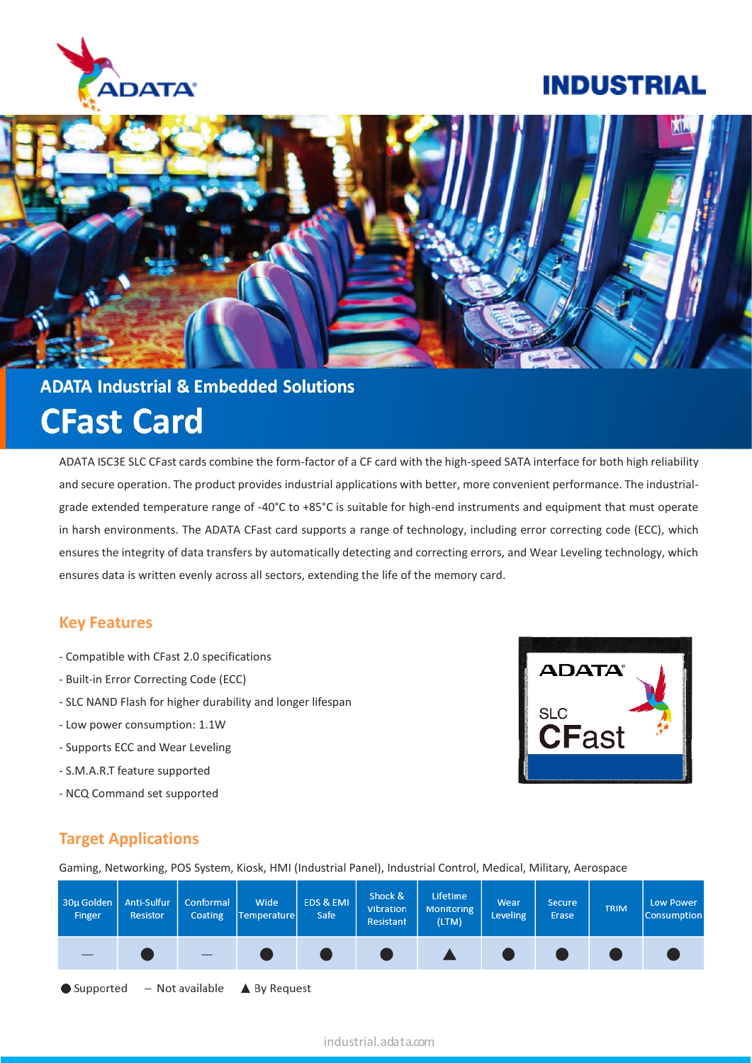

## **INDUSTRIAL**



# **ADATA Industrial & Embedded Solutions CFast Card**

ADATA ISC3E SLC CFast cards combine the form-factor of a CF card with the high-speed SATA interface for both high reliability and secure operation. The product provides industrial applications with better, more convenient performance. The industrialgrade extended temperature range of -40°C to +85°C is suitable for high-end instruments and equipment that must operate in harsh environments. The ADATA CFast card supports a range of technology, including error correcting code (ECC), which ensures the integrity of data transfers by automatically detecting and correcting errors, and Wear Leveling technology, which ensures data is written evenly across all sectors, extending the life of the memory card.

#### **Key Features**

- Compatible with CFast 2.0 specifications
- Built-in Error Correcting Code (ECC)
- SLC NAND Flash for higher durability and longer lifespan
- Low power consumption: 1.1W
- Supports ECC and Wear Leveling
- S.M.A.R.T feature supported
- NCQ Command set supported



### **Target Applications**

Gaming, Networking, POS System, Kiosk, HMI (Industrial Panel), Industrial Control, Medical, Military, Aerospace